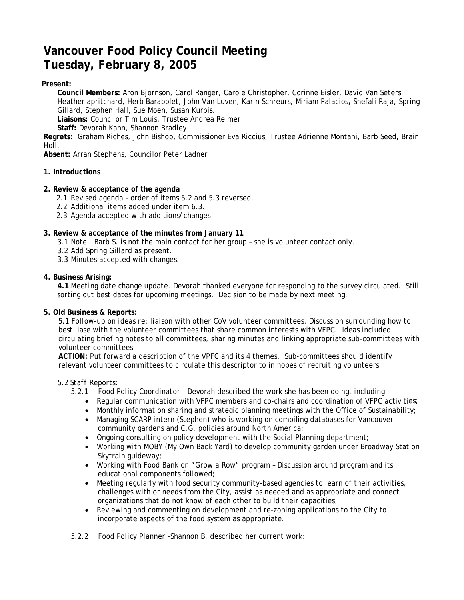# **Vancouver Food Policy Council Meeting Tuesday, February 8, 2005**

# **Present:**

**Council Members:** Aron Bjornson, Carol Ranger, Carole Christopher, Corinne Eisler, David Van Seters, Heather apritchard, Herb Barabolet, John Van Luven, Karin Schreurs, Miriam Palacios**,** Shefali Raja, Spring Gillard, Stephen Hall, Sue Moen, Susan Kurbis.

**Liaisons:** Councilor Tim Louis, Trustee Andrea Reimer

**Staff:** Devorah Kahn, Shannon Bradley

**Regrets:** Graham Riches, John Bishop, Commissioner Eva Riccius, Trustee Adrienne Montani, Barb Seed, Brain Holl,

**Absent:** Arran Stephens, Councilor Peter Ladner

# **1. Introductions**

## **2. Review & acceptance of the agenda**

- 2.1 Revised agenda order of items 5.2 and 5.3 reversed.
- 2.2 Additional items added under item 6.3.
- 2.3 Agenda accepted with additions/changes

# **3. Review & acceptance of the minutes from January 11**

- 3.1 Note: Barb S. is not the main contact for her group she is volunteer contact only.
- 3.2 Add Spring Gillard as present.
- 3.3 Minutes accepted with changes.

## **4. Business Arising:**

**4.1** *Meeting date change update.* Devorah thanked everyone for responding to the survey circulated. Still sorting out best dates for upcoming meetings. Decision to be made by next meeting.

## **5. Old Business & Reports:**

*5.1 Follow-up on ideas re: liaison with other CoV volunteer committees.* Discussion surrounding how to best liase with the volunteer committees that share common interests with VFPC. Ideas included circulating briefing notes to all committees, sharing minutes and linking appropriate sub-committees with volunteer committees.

**ACTION:** Put forward a description of the VPFC and its 4 themes. Sub-committees should identify relevant volunteer committees to circulate this descriptor to in hopes of recruiting volunteers.

#### *5.2 Staff Reports:*

- 5.2.1 *Food Policy Coordinator* Devorah described the work she has been doing, including:
	- Regular communication with VFPC members and co-chairs and coordination of VFPC activities;
	- Monthly information sharing and strategic planning meetings with the Office of Sustainability;
	- Managing SCARP intern (Stephen) who is working on compiling databases for Vancouver community gardens and C.G. policies around North America;
	- Ongoing consulting on policy development with the Social Planning department;
	- Working with MOBY (My Own Back Yard) to develop community garden under Broadway Station Skytrain guideway;
	- Working with Food Bank on "Grow a Row" program Discussion around program and its educational components followed;
	- Meeting regularly with food security community-based agencies to learn of their activities, challenges with or needs from the City, assist as needed and as appropriate and connect organizations that do not know of each other to build their capacities;
	- Reviewing and commenting on development and re-zoning applications to the City to incorporate aspects of the food system as appropriate.
- *5.2.2 Food Policy Planner* –Shannon B. described her current work: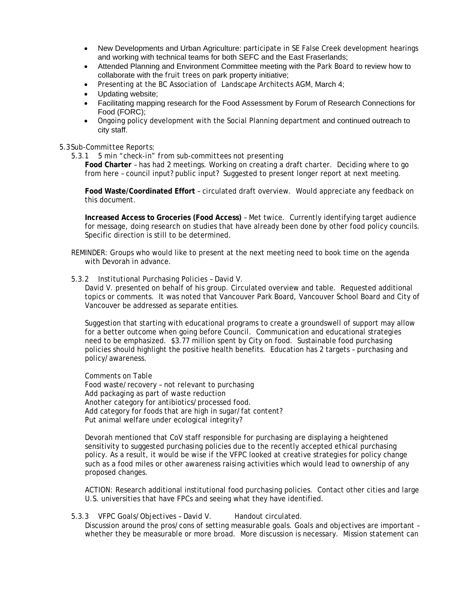- New Developments and Urban Agriculture: participate in SE False Creek development hearings and working with technical teams for both SEFC and the East Fraserlands;
- Attended Planning and Environment Committee meeting with the Park Board to review how to collaborate with the fruit trees on park property initiative;
- Presenting at the BC Association of Landscape Architects AGM, March 4;
- Updating website;
- Facilitating mapping research for the Food Assessment by Forum of Research Connections for Food (FORC);
- Ongoing policy development with the Social Planning department and continued outreach to city staff.

#### 5.3 *Sub-Committee Reports:*

5.3.1 *5 min "check-in" from sub-committees not presenting* 

**Food Charter** – has had 2 meetings. Working on creating a draft charter. Deciding where to go from here – council input? public input? Suggested to present longer report at next meeting.

**Food Waste/Coordinated Effort** – circulated draft overview. Would appreciate any feedback on this document.

**Increased Access to Groceries (Food Access)** – Met twice. Currently identifying target audience for message, doing research on studies that have already been done by other food policy councils. Specific direction is still to be determined.

REMINDER: Groups who would like to present at the next meeting need to book time on the agenda with Devorah in advance.

#### 5.3.2 *Institutional Purchasing Policies – David V*.

David V. presented on behalf of his group. Circulated overview and table. Requested additional topics or comments. It was noted that Vancouver Park Board, Vancouver School Board and City of Vancouver be addressed as separate entities.

Suggestion that starting with educational programs to create a groundswell of support may allow for a better outcome when going before Council. Communication and educational strategies need to be emphasized. \$3.77 million spent by City on food. Sustainable food purchasing policies should highlight the positive health benefits. Education has 2 targets – purchasing and policy/awareness.

Comments on Table Food waste/recovery – not relevant to purchasing Add packaging as part of waste reduction Another category for antibiotics/processed food. Add category for foods that are high in sugar/fat content? Put animal welfare under ecological integrity?

Devorah mentioned that CoV staff responsible for purchasing are displaying a heightened sensitivity to suggested purchasing policies due to the recently accepted ethical purchasing policy. As a result, it would be wise if the VFPC looked at creative strategies for policy change such as a food miles or other awareness raising activities which would lead to ownership of any proposed changes.

ACTION: Research additional institutional food purchasing policies. Contact other cities and large U.S. universities that have FPCs and seeing what they have identified.

## 5.3.3 *VFPC Goals/Objectives – David V.* Handout circulated.

Discussion around the pros/cons of setting measurable goals. Goals and objectives are important – whether they be measurable or more broad. More discussion is necessary. Mission statement can